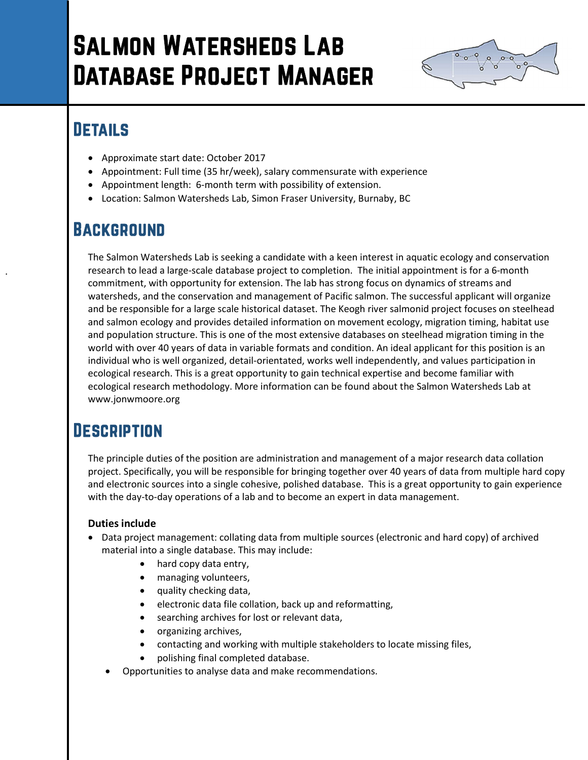# Salmon Watersheds Lab Database Project Manager



# **DETAILS**

- Approximate start date: October 2017
- Appointment: Full time (35 hr/week), salary commensurate with experience
- Appointment length: 6-month term with possibility of extension.
- Location: Salmon Watersheds Lab, Simon Fraser University, Burnaby, BC

## **BACKGROUND**

.

The Salmon Watersheds Lab is seeking a candidate with a keen interest in aquatic ecology and conservation research to lead a large-scale database project to completion. The initial appointment is for a 6-month commitment, with opportunity for extension. The lab has strong focus on dynamics of streams and watersheds, and the conservation and management of Pacific salmon. The successful applicant will organize and be responsible for a large scale historical dataset. The Keogh river salmonid project focuses on steelhead and salmon ecology and provides detailed information on movement ecology, migration timing, habitat use and population structure. This is one of the most extensive databases on steelhead migration timing in the world with over 40 years of data in variable formats and condition. An ideal applicant for this position is an individual who is well organized, detail-orientated, works well independently, and values participation in ecological research. This is a great opportunity to gain technical expertise and become familiar with ecological research methodology. More information can be found about the Salmon Watersheds Lab at www.jonwmoore.org

## **DESCRIPTION**

The principle duties of the position are administration and management of a major research data collation project. Specifically, you will be responsible for bringing together over 40 years of data from multiple hard copy and electronic sources into a single cohesive, polished database. This is a great opportunity to gain experience with the day-to-day operations of a lab and to become an expert in data management.

#### Duties include

- Data project management: collating data from multiple sources (electronic and hard copy) of archived material into a single database. This may include:
	- hard copy data entry,
	- managing volunteers,
	- quality checking data,
	- electronic data file collation, back up and reformatting,
	- searching archives for lost or relevant data,
	- organizing archives,
	- contacting and working with multiple stakeholders to locate missing files,
	- polishing final completed database.
	- Opportunities to analyse data and make recommendations.